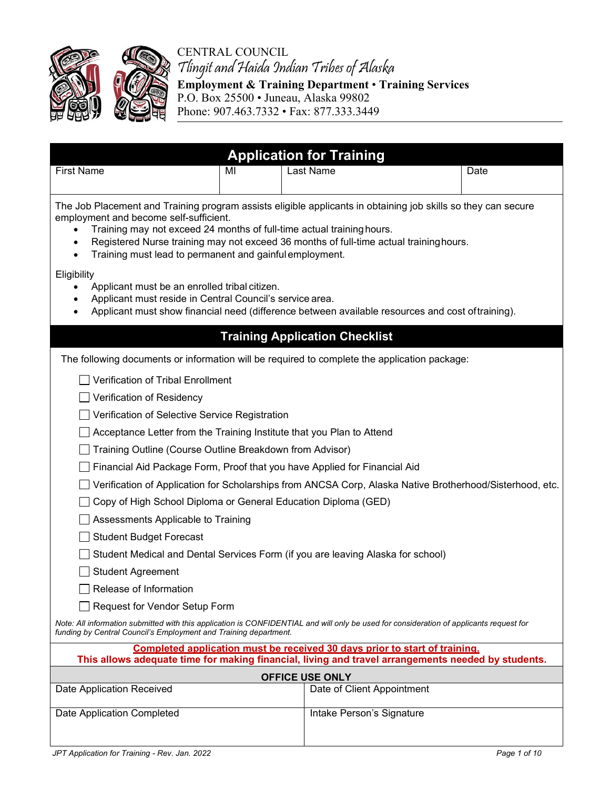



## CENTRAL COUNCIL Tlingit and Haida Indian Tribes of Alaska **Employment & Training Department** • **Training Services**  P.O. Box 25500 • Juneau, Alaska 99802

Phone: 907.463.7332 • Fax: 877.333.3449

| <b>Application for Training</b>                                                                                                                                                                                                                                                                                                                                                       |    |                                       |                                                                                                          |  |  |  |
|---------------------------------------------------------------------------------------------------------------------------------------------------------------------------------------------------------------------------------------------------------------------------------------------------------------------------------------------------------------------------------------|----|---------------------------------------|----------------------------------------------------------------------------------------------------------|--|--|--|
| <b>First Name</b>                                                                                                                                                                                                                                                                                                                                                                     | МI | Last Name                             | Date                                                                                                     |  |  |  |
|                                                                                                                                                                                                                                                                                                                                                                                       |    |                                       |                                                                                                          |  |  |  |
| The Job Placement and Training program assists eligible applicants in obtaining job skills so they can secure<br>employment and become self-sufficient.<br>Training may not exceed 24 months of full-time actual training hours.<br>Registered Nurse training may not exceed 36 months of full-time actual training hours.<br>Training must lead to permanent and gainful employment. |    |                                       |                                                                                                          |  |  |  |
| Eligibility<br>Applicant must be an enrolled tribal citizen.<br>Applicant must reside in Central Council's service area.<br>Applicant must show financial need (difference between available resources and cost oftraining).                                                                                                                                                          |    |                                       |                                                                                                          |  |  |  |
|                                                                                                                                                                                                                                                                                                                                                                                       |    | <b>Training Application Checklist</b> |                                                                                                          |  |  |  |
| The following documents or information will be required to complete the application package:                                                                                                                                                                                                                                                                                          |    |                                       |                                                                                                          |  |  |  |
| Verification of Tribal Enrollment                                                                                                                                                                                                                                                                                                                                                     |    |                                       |                                                                                                          |  |  |  |
| Verification of Residency                                                                                                                                                                                                                                                                                                                                                             |    |                                       |                                                                                                          |  |  |  |
| Verification of Selective Service Registration                                                                                                                                                                                                                                                                                                                                        |    |                                       |                                                                                                          |  |  |  |
| Acceptance Letter from the Training Institute that you Plan to Attend                                                                                                                                                                                                                                                                                                                 |    |                                       |                                                                                                          |  |  |  |
| Training Outline (Course Outline Breakdown from Advisor)                                                                                                                                                                                                                                                                                                                              |    |                                       |                                                                                                          |  |  |  |
| Financial Aid Package Form, Proof that you have Applied for Financial Aid                                                                                                                                                                                                                                                                                                             |    |                                       |                                                                                                          |  |  |  |
|                                                                                                                                                                                                                                                                                                                                                                                       |    |                                       | Verification of Application for Scholarships from ANCSA Corp, Alaska Native Brotherhood/Sisterhood, etc. |  |  |  |
| Copy of High School Diploma or General Education Diploma (GED)                                                                                                                                                                                                                                                                                                                        |    |                                       |                                                                                                          |  |  |  |
| Assessments Applicable to Training                                                                                                                                                                                                                                                                                                                                                    |    |                                       |                                                                                                          |  |  |  |
| <b>Student Budget Forecast</b>                                                                                                                                                                                                                                                                                                                                                        |    |                                       |                                                                                                          |  |  |  |
| Student Medical and Dental Services Form (if you are leaving Alaska for school)                                                                                                                                                                                                                                                                                                       |    |                                       |                                                                                                          |  |  |  |
| <b>Student Agreement</b>                                                                                                                                                                                                                                                                                                                                                              |    |                                       |                                                                                                          |  |  |  |
| Release of Information                                                                                                                                                                                                                                                                                                                                                                |    |                                       |                                                                                                          |  |  |  |
| Request for Vendor Setup Form                                                                                                                                                                                                                                                                                                                                                         |    |                                       |                                                                                                          |  |  |  |
| Note: All information submitted with this application is CONFIDENTIAL and will only be used for consideration of applicants request for<br>funding by Central Council's Employment and Training department.                                                                                                                                                                           |    |                                       |                                                                                                          |  |  |  |
| Completed application must be received 30 days prior to start of training.<br>This allows adequate time for making financial, living and travel arrangements needed by students.                                                                                                                                                                                                      |    |                                       |                                                                                                          |  |  |  |
| <b>OFFICE USE ONLY</b>                                                                                                                                                                                                                                                                                                                                                                |    |                                       |                                                                                                          |  |  |  |
| Date Application Received                                                                                                                                                                                                                                                                                                                                                             |    | Date of Client Appointment            |                                                                                                          |  |  |  |
| Date Application Completed                                                                                                                                                                                                                                                                                                                                                            |    | Intake Person's Signature             |                                                                                                          |  |  |  |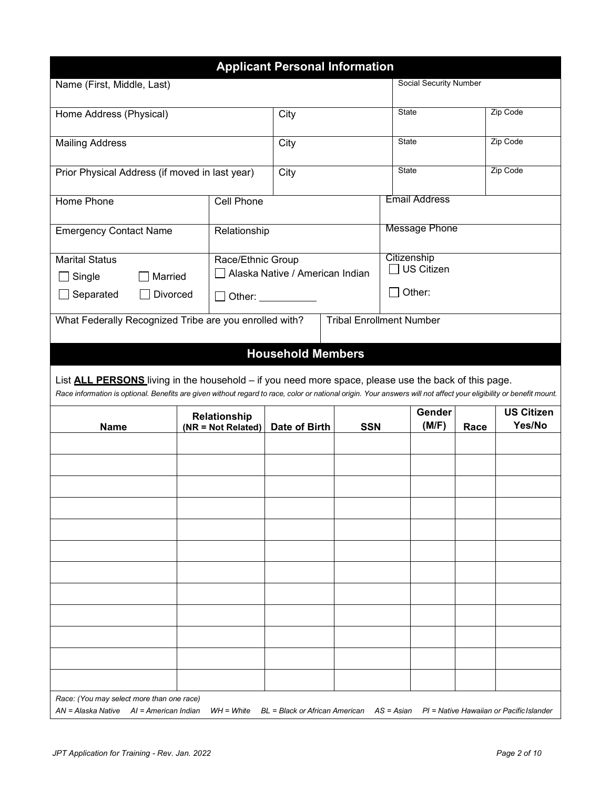|                                                        |          |                    | <b>Applicant Personal Information</b>                                                                                                                                                                                          |            |                                                                                                                                                                    |      |                   |
|--------------------------------------------------------|----------|--------------------|--------------------------------------------------------------------------------------------------------------------------------------------------------------------------------------------------------------------------------|------------|--------------------------------------------------------------------------------------------------------------------------------------------------------------------|------|-------------------|
| Name (First, Middle, Last)                             |          |                    |                                                                                                                                                                                                                                |            | Social Security Number                                                                                                                                             |      |                   |
|                                                        |          |                    |                                                                                                                                                                                                                                |            |                                                                                                                                                                    |      |                   |
| Home Address (Physical)                                |          |                    | City                                                                                                                                                                                                                           |            | <b>State</b>                                                                                                                                                       |      | Zip Code          |
| <b>Mailing Address</b>                                 |          |                    | City                                                                                                                                                                                                                           |            | State                                                                                                                                                              |      | Zip Code          |
|                                                        |          |                    |                                                                                                                                                                                                                                |            |                                                                                                                                                                    |      |                   |
| Prior Physical Address (if moved in last year)         |          |                    | City                                                                                                                                                                                                                           |            | State                                                                                                                                                              |      | Zip Code          |
| Home Phone                                             |          | Cell Phone         |                                                                                                                                                                                                                                |            | <b>Email Address</b>                                                                                                                                               |      |                   |
| <b>Emergency Contact Name</b>                          |          | Relationship       |                                                                                                                                                                                                                                |            | <b>Message Phone</b>                                                                                                                                               |      |                   |
|                                                        |          |                    |                                                                                                                                                                                                                                |            |                                                                                                                                                                    |      |                   |
| <b>Marital Status</b>                                  |          | Race/Ethnic Group  | Alaska Native / American Indian                                                                                                                                                                                                |            | Citizenship<br><b>US Citizen</b>                                                                                                                                   |      |                   |
| Single                                                 | Married  |                    |                                                                                                                                                                                                                                |            |                                                                                                                                                                    |      |                   |
| Separated                                              | Divorced |                    | Other: and the state of the state of the state of the state of the state of the state of the state of the state of the state of the state of the state of the state of the state of the state of the state of the state of the |            | Other:                                                                                                                                                             |      |                   |
| What Federally Recognized Tribe are you enrolled with? |          |                    |                                                                                                                                                                                                                                |            | <b>Tribal Enrollment Number</b>                                                                                                                                    |      |                   |
|                                                        |          |                    | <b>Household Members</b>                                                                                                                                                                                                       |            |                                                                                                                                                                    |      |                   |
|                                                        |          |                    |                                                                                                                                                                                                                                |            |                                                                                                                                                                    |      |                   |
|                                                        |          |                    |                                                                                                                                                                                                                                |            | List <b>ALL PERSONS</b> living in the household – if you need more space, please use the back of this page.                                                        |      |                   |
|                                                        |          |                    |                                                                                                                                                                                                                                |            | Race information is optional. Benefits are given without regard to race, color or national origin. Your answers will not affect your eligibility or benefit mount. |      |                   |
|                                                        |          | Relationship       |                                                                                                                                                                                                                                |            | Gender                                                                                                                                                             |      | <b>US Citizen</b> |
| <b>Name</b>                                            |          | (NR = Not Related) | Date of Birth                                                                                                                                                                                                                  | <b>SSN</b> | (M/F)                                                                                                                                                              | Race | Yes/No            |
|                                                        |          |                    |                                                                                                                                                                                                                                |            |                                                                                                                                                                    |      |                   |
|                                                        |          |                    |                                                                                                                                                                                                                                |            |                                                                                                                                                                    |      |                   |
|                                                        |          |                    |                                                                                                                                                                                                                                |            |                                                                                                                                                                    |      |                   |
|                                                        |          |                    |                                                                                                                                                                                                                                |            |                                                                                                                                                                    |      |                   |
|                                                        |          |                    |                                                                                                                                                                                                                                |            |                                                                                                                                                                    |      |                   |
|                                                        |          |                    |                                                                                                                                                                                                                                |            |                                                                                                                                                                    |      |                   |
|                                                        |          |                    |                                                                                                                                                                                                                                |            |                                                                                                                                                                    |      |                   |
|                                                        |          |                    |                                                                                                                                                                                                                                |            |                                                                                                                                                                    |      |                   |
|                                                        |          |                    |                                                                                                                                                                                                                                |            |                                                                                                                                                                    |      |                   |
|                                                        |          |                    |                                                                                                                                                                                                                                |            |                                                                                                                                                                    |      |                   |
|                                                        |          |                    |                                                                                                                                                                                                                                |            |                                                                                                                                                                    |      |                   |
|                                                        |          |                    |                                                                                                                                                                                                                                |            |                                                                                                                                                                    |      |                   |
|                                                        |          |                    |                                                                                                                                                                                                                                |            |                                                                                                                                                                    |      |                   |
| Race: (You may select more than one race)              |          |                    |                                                                                                                                                                                                                                |            |                                                                                                                                                                    |      |                   |
| AN = Alaska Native AI = American Indian                |          |                    |                                                                                                                                                                                                                                |            | $WH = White$ BL = Black or African American AS = Asian PI = Native Hawaiian or Pacific Islander                                                                    |      |                   |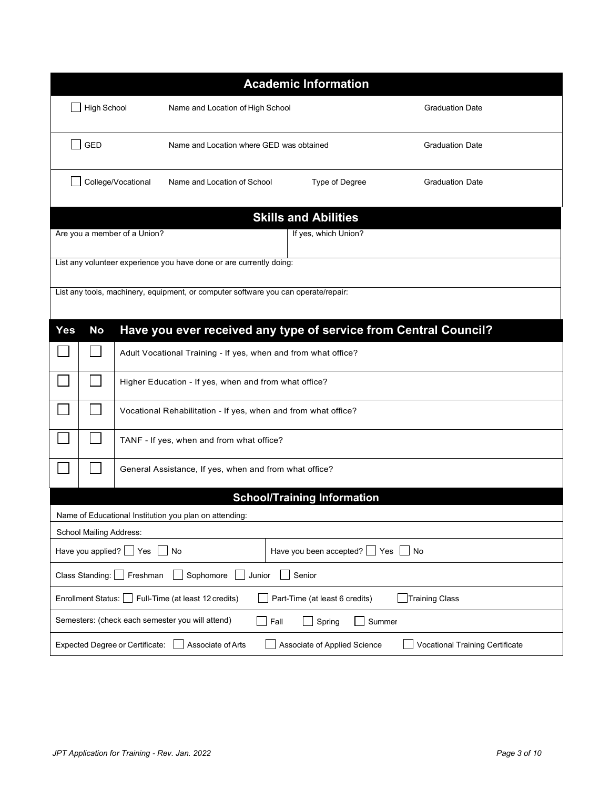| <b>Academic Information</b>                                                                                                    |  |  |  |  |  |
|--------------------------------------------------------------------------------------------------------------------------------|--|--|--|--|--|
| <b>High School</b><br>Name and Location of High School<br><b>Graduation Date</b>                                               |  |  |  |  |  |
| GED<br>Name and Location where GED was obtained<br><b>Graduation Date</b>                                                      |  |  |  |  |  |
| College/Vocational<br>Name and Location of School<br>Type of Degree<br><b>Graduation Date</b>                                  |  |  |  |  |  |
| <b>Skills and Abilities</b>                                                                                                    |  |  |  |  |  |
| If yes, which Union?<br>Are you a member of a Union?                                                                           |  |  |  |  |  |
| List any volunteer experience you have done or are currently doing:                                                            |  |  |  |  |  |
| List any tools, machinery, equipment, or computer software you can operate/repair:                                             |  |  |  |  |  |
|                                                                                                                                |  |  |  |  |  |
| Have you ever received any type of service from Central Council?<br>Yes<br><b>No</b>                                           |  |  |  |  |  |
| Adult Vocational Training - If yes, when and from what office?                                                                 |  |  |  |  |  |
| Higher Education - If yes, when and from what office?                                                                          |  |  |  |  |  |
| Vocational Rehabilitation - If yes, when and from what office?                                                                 |  |  |  |  |  |
| TANF - If yes, when and from what office?                                                                                      |  |  |  |  |  |
| General Assistance, If yes, when and from what office?                                                                         |  |  |  |  |  |
| <b>School/Training Information</b>                                                                                             |  |  |  |  |  |
| Name of Educational Institution you plan on attending:                                                                         |  |  |  |  |  |
| School Mailing Address:                                                                                                        |  |  |  |  |  |
| Have you applied? Ses<br>Have you been accepted? $\Box$ Yes<br>No<br>$\vert$ No                                                |  |  |  |  |  |
| Class Standing:  <br>Sophomore<br>Senior<br>Freshman<br>Junior                                                                 |  |  |  |  |  |
| <b>Training Class</b><br>Enrollment Status: U<br>Full-Time (at least 12 credits)<br>Part-Time (at least 6 credits)             |  |  |  |  |  |
| Semesters: (check each semester you will attend)<br>Fall<br>Summer<br>Spring                                                   |  |  |  |  |  |
| Associate of Applied Science<br><b>Vocational Training Certificate</b><br>Expected Degree or Certificate:<br>Associate of Arts |  |  |  |  |  |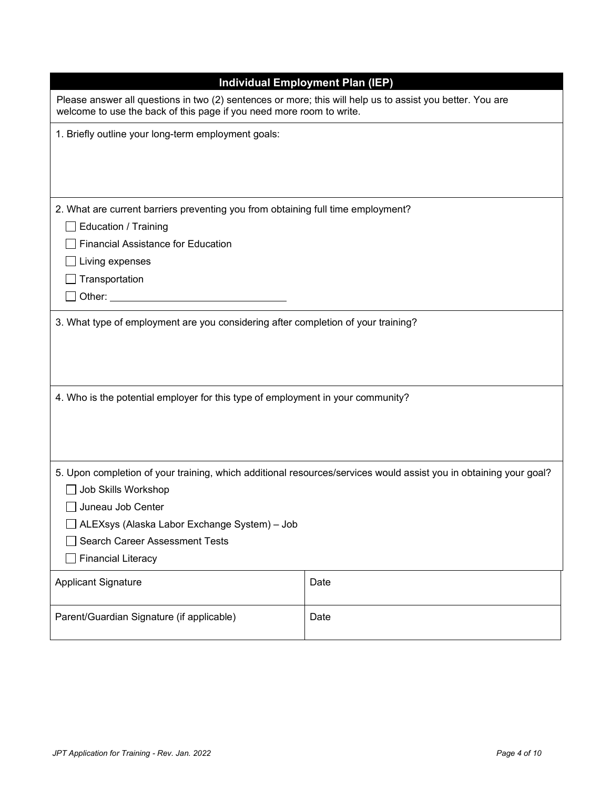|                                                                                                                   | <b>Individual Employment Plan (IEP)</b>                                                                                                                                           |  |  |  |  |
|-------------------------------------------------------------------------------------------------------------------|-----------------------------------------------------------------------------------------------------------------------------------------------------------------------------------|--|--|--|--|
|                                                                                                                   | Please answer all questions in two (2) sentences or more; this will help us to assist you better. You are<br>welcome to use the back of this page if you need more room to write. |  |  |  |  |
| 1. Briefly outline your long-term employment goals:                                                               |                                                                                                                                                                                   |  |  |  |  |
|                                                                                                                   |                                                                                                                                                                                   |  |  |  |  |
|                                                                                                                   |                                                                                                                                                                                   |  |  |  |  |
|                                                                                                                   |                                                                                                                                                                                   |  |  |  |  |
| 2. What are current barriers preventing you from obtaining full time employment?                                  |                                                                                                                                                                                   |  |  |  |  |
| <b>Education / Training</b>                                                                                       |                                                                                                                                                                                   |  |  |  |  |
| <b>Financial Assistance for Education</b>                                                                         |                                                                                                                                                                                   |  |  |  |  |
| Living expenses                                                                                                   |                                                                                                                                                                                   |  |  |  |  |
| Transportation                                                                                                    |                                                                                                                                                                                   |  |  |  |  |
|                                                                                                                   |                                                                                                                                                                                   |  |  |  |  |
| 4. Who is the potential employer for this type of employment in your community?                                   |                                                                                                                                                                                   |  |  |  |  |
|                                                                                                                   |                                                                                                                                                                                   |  |  |  |  |
| 5. Upon completion of your training, which additional resources/services would assist you in obtaining your goal? |                                                                                                                                                                                   |  |  |  |  |
| Job Skills Workshop<br>Juneau Job Center                                                                          |                                                                                                                                                                                   |  |  |  |  |
| ALEXsys (Alaska Labor Exchange System) - Job                                                                      |                                                                                                                                                                                   |  |  |  |  |
| <b>Search Career Assessment Tests</b>                                                                             |                                                                                                                                                                                   |  |  |  |  |
| <b>Financial Literacy</b>                                                                                         |                                                                                                                                                                                   |  |  |  |  |
| <b>Applicant Signature</b>                                                                                        | Date                                                                                                                                                                              |  |  |  |  |
| Parent/Guardian Signature (if applicable)                                                                         | Date                                                                                                                                                                              |  |  |  |  |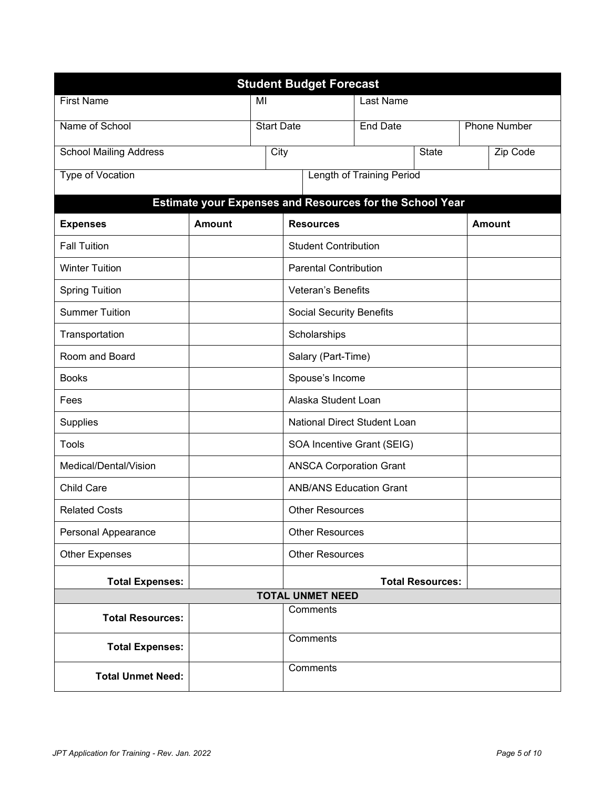| <b>Student Budget Forecast</b> |                         |                        |                                                          |                                  |                     |               |
|--------------------------------|-------------------------|------------------------|----------------------------------------------------------|----------------------------------|---------------------|---------------|
| <b>First Name</b>              | MI                      |                        | Last Name                                                |                                  |                     |               |
| Name of School                 | <b>Start Date</b>       |                        | <b>End Date</b>                                          |                                  | <b>Phone Number</b> |               |
| <b>School Mailing Address</b>  |                         | City                   |                                                          | <b>State</b>                     |                     | Zip Code      |
| <b>Type of Vocation</b>        |                         |                        |                                                          | <b>Length of Training Period</b> |                     |               |
|                                |                         |                        | Estimate your Expenses and Resources for the School Year |                                  |                     |               |
| <b>Expenses</b>                | <b>Amount</b>           |                        | <b>Resources</b>                                         |                                  |                     | <b>Amount</b> |
| <b>Fall Tuition</b>            |                         |                        | <b>Student Contribution</b>                              |                                  |                     |               |
| <b>Winter Tuition</b>          |                         |                        | <b>Parental Contribution</b>                             |                                  |                     |               |
| <b>Spring Tuition</b>          |                         |                        | <b>Veteran's Benefits</b>                                |                                  |                     |               |
| <b>Summer Tuition</b>          |                         |                        | <b>Social Security Benefits</b>                          |                                  |                     |               |
| Transportation                 | Scholarships            |                        |                                                          |                                  |                     |               |
| Room and Board                 | Salary (Part-Time)      |                        |                                                          |                                  |                     |               |
| <b>Books</b>                   | Spouse's Income         |                        |                                                          |                                  |                     |               |
| Fees                           | Alaska Student Loan     |                        |                                                          |                                  |                     |               |
| Supplies                       |                         |                        | National Direct Student Loan                             |                                  |                     |               |
| Tools                          |                         |                        | SOA Incentive Grant (SEIG)                               |                                  |                     |               |
| Medical/Dental/Vision          |                         |                        | <b>ANSCA Corporation Grant</b>                           |                                  |                     |               |
| <b>Child Care</b>              |                         |                        | <b>ANB/ANS Education Grant</b>                           |                                  |                     |               |
| <b>Related Costs</b>           |                         |                        | <b>Other Resources</b>                                   |                                  |                     |               |
| Personal Appearance            |                         |                        | <b>Other Resources</b>                                   |                                  |                     |               |
| <b>Other Expenses</b>          |                         | <b>Other Resources</b> |                                                          |                                  |                     |               |
| <b>Total Expenses:</b>         | <b>Total Resources:</b> |                        |                                                          |                                  |                     |               |
| <b>TOTAL UNMET NEED</b>        |                         |                        |                                                          |                                  |                     |               |
| <b>Total Resources:</b>        |                         |                        | Comments                                                 |                                  |                     |               |
| <b>Total Expenses:</b>         |                         |                        | <b>Comments</b>                                          |                                  |                     |               |
| <b>Total Unmet Need:</b>       |                         |                        | Comments                                                 |                                  |                     |               |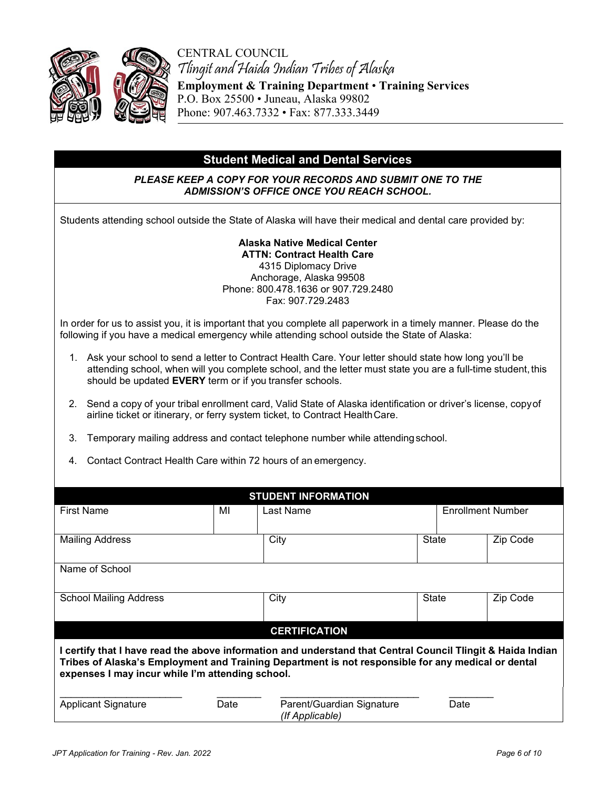

CENTRAL COUNCIL Tlingit and Haida Indian Tribes of Alaska **Employment & Training Department** • **Training Services**  P.O. Box 25500 • Juneau, Alaska 99802 Phone: 907.463.7332 • Fax: 877.333.3449

## **Student Medical and Dental Services**

#### *PLEASE KEEP A COPY FOR YOUR RECORDS AND SUBMIT ONE TO THE ADMISSION'S OFFICE ONCE YOU REACH SCHOOL.*

Students attending school outside the State of Alaska will have their medical and dental care provided by:

**Alaska Native Medical Center ATTN: Contract Health Care**  4315 Diplomacy Drive Anchorage, Alaska 99508 Phone: 800.478.1636 or 907.729.2480 Fax: 907.729.2483

In order for us to assist you, it is important that you complete all paperwork in a timely manner. Please do the following if you have a medical emergency while attending school outside the State of Alaska:

- 1. Ask your school to send a letter to Contract Health Care. Your letter should state how long you'll be attending school, when will you complete school, and the letter must state you are a full-time student, this should be updated **EVERY** term or if you transfer schools.
- 2. Send a copy of your tribal enrollment card, Valid State of Alaska identification or driver's license, copyof airline ticket or itinerary, or ferry system ticket, to Contract HealthCare.
- 3. Temporary mailing address and contact telephone number while attendingschool.
- 4. Contact Contract Health Care within 72 hours of an emergency.

| <b>STUDENT INFORMATION</b>                                                                                                                                                                                                                                            |      |                                              |       |                          |  |  |
|-----------------------------------------------------------------------------------------------------------------------------------------------------------------------------------------------------------------------------------------------------------------------|------|----------------------------------------------|-------|--------------------------|--|--|
| <b>First Name</b>                                                                                                                                                                                                                                                     | MI   | Last Name                                    |       | <b>Enrollment Number</b> |  |  |
| <b>Mailing Address</b>                                                                                                                                                                                                                                                |      | City                                         | State | Zip Code                 |  |  |
| Name of School                                                                                                                                                                                                                                                        |      |                                              |       |                          |  |  |
| <b>School Mailing Address</b>                                                                                                                                                                                                                                         |      | City                                         | State | Zip Code                 |  |  |
|                                                                                                                                                                                                                                                                       |      | <b>CERTIFICATION</b>                         |       |                          |  |  |
| I certify that I have read the above information and understand that Central Council Tlingit & Haida Indian<br>Tribes of Alaska's Employment and Training Department is not responsible for any medical or dental<br>expenses I may incur while I'm attending school. |      |                                              |       |                          |  |  |
| <b>Applicant Signature</b>                                                                                                                                                                                                                                            | Date | Parent/Guardian Signature<br>(If Applicable) | Date  |                          |  |  |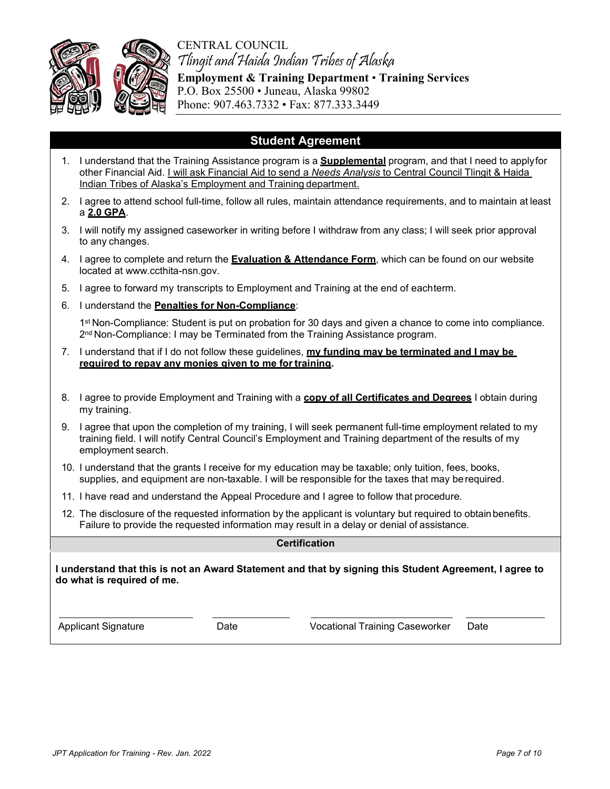



Tlingit and Haida Indian Tribes of Alaska **Employment & Training Department** • **Training Services**  P.O. Box 25500 • Juneau, Alaska 99802 Phone: 907.463.7332 • Fax: 877.333.3449

### **Student Agreement**

- 1. I understand that the Training Assistance program is a **Supplemental** program, and that I need to applyfor other Financial Aid. I will ask Financial Aid to send a *Needs Analysis* to Central Council Tlingit & Haida Indian Tribes of Alaska's Employment and Training department.
- 2. I agree to attend school full-time, follow all rules, maintain attendance requirements, and to maintain at least a **2.0 GPA**.
- 3. I will notify my assigned caseworker in writing before I withdraw from any class; I will seek prior approval to any changes.
- 4. I agree to complete and return the **Evaluation & Attendance Form**, which can be found on our website located at www.ccthita-nsn.gov.
- 5. I agree to forward my transcripts to Employment and Training at the end of eachterm.
- 6. I understand the **Penalties for Non-Compliance**:

1st Non-Compliance: Student is put on probation for 30 days and given a chance to come into compliance. 2<sup>nd</sup> Non-Compliance: I may be Terminated from the Training Assistance program.

- 7. I understand that if I do not follow these guidelines, **my funding may be terminated and I may be**  required to repay any monies given to me for training.
- 8. I agree to provide Employment and Training with a **copy of all Certificates and Degrees** I obtain during my training.
- 9. I agree that upon the completion of my training, I will seek permanent full-time employment related to my training field. I will notify Central Council's Employment and Training department of the results of my employment search.
- 10. I understand that the grants I receive for my education may be taxable; only tuition, fees, books, supplies, and equipment are non-taxable. I will be responsible for the taxes that may berequired.
- 11. I have read and understand the Appeal Procedure and I agree to follow that procedure.
- 12. The disclosure of the requested information by the applicant is voluntary but required to obtain benefits. Failure to provide the requested information may result in a delay or denial of assistance.

#### **Certification**

**I understand that this is not an Award Statement and that by signing this Student Agreement, I agree to do what is required of me.**

Applicant Signature Date Vocational Training Caseworker Date

*JPT Application for Training - Rev. Jan. 2022 Page 7 of 10*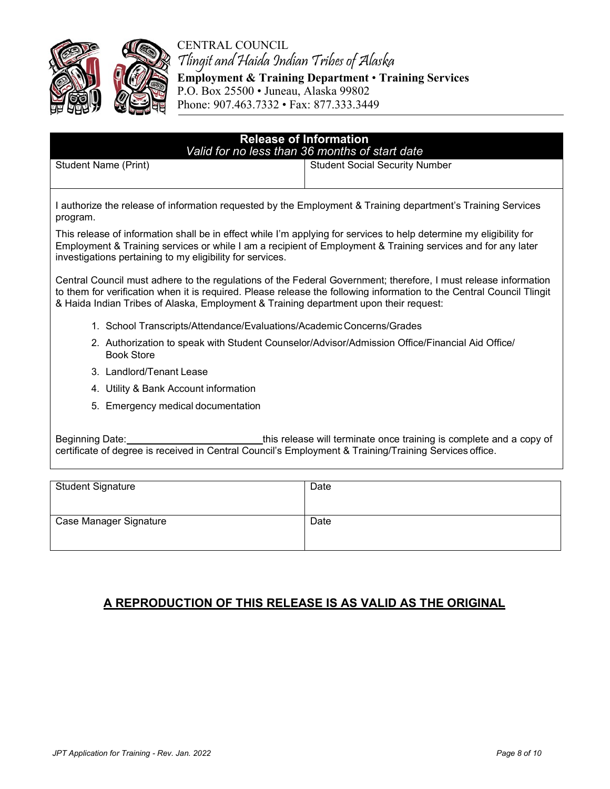

CENTRAL COUNCIL Tlingit and Haida Indian Tribes of Alaska

**Employment & Training Department** • **Training Services**  P.O. Box 25500 • Juneau, Alaska 99802 Phone: 907.463.7332 • Fax: 877.333.3449

| <b>Release of Information</b><br>Valid for no less than 36 months of start date                                                                                                                                                                                                                  |                                       |  |  |  |  |
|--------------------------------------------------------------------------------------------------------------------------------------------------------------------------------------------------------------------------------------------------------------------------------------------------|---------------------------------------|--|--|--|--|
| Student Name (Print)                                                                                                                                                                                                                                                                             | <b>Student Social Security Number</b> |  |  |  |  |
| I authorize the release of information requested by the Employment & Training department's Training Services<br>program.                                                                                                                                                                         |                                       |  |  |  |  |
| This release of information shall be in effect while I'm applying for services to help determine my eligibility for<br>Employment & Training services or while I am a recipient of Employment & Training services and for any later<br>investigations pertaining to my eligibility for services. |                                       |  |  |  |  |

Central Council must adhere to the regulations of the Federal Government; therefore, I must release information to them for verification when it is required. Please release the following information to the Central Council Tlingit & Haida Indian Tribes of Alaska, Employment & Training department upon their request:

- 1. School Transcripts/Attendance/Evaluations/AcademicConcerns/Grades
- 2. Authorization to speak with Student Counselor/Advisor/Admission Office/Financial Aid Office/ Book Store
- 3. Landlord/Tenant Lease
- 4. Utility & Bank Account information
- 5. Emergency medical documentation

Beginning Date: this release will terminate once training is complete and a copy of certificate of degree is received in Central Council's Employment & Training/Training Services office.

| <b>Student Signature</b> | Date |
|--------------------------|------|
| Case Manager Signature   | Date |

## **A REPRODUCTION OF THIS RELEASE IS AS VALID AS THE ORIGINAL**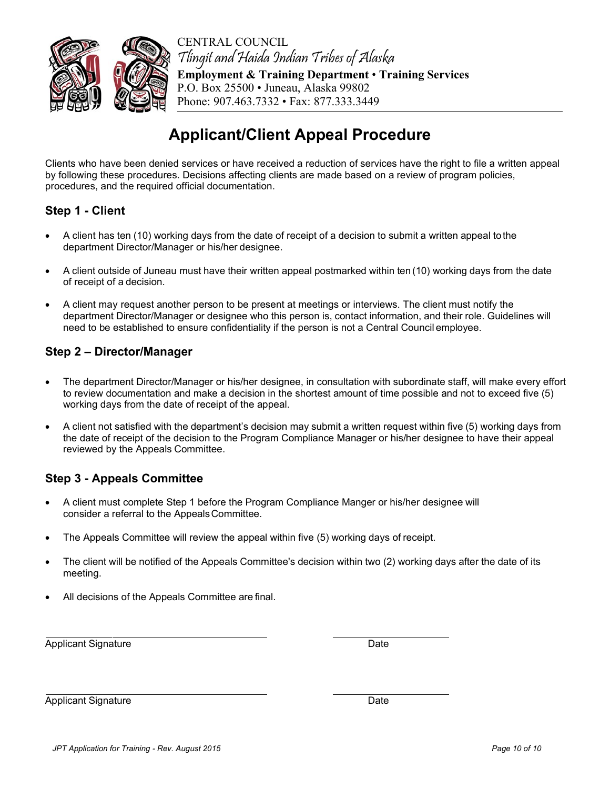

CENTRAL COUNCIL Tlingit and Haida Indian Tribes of Alaska **Employment & Training Department** • **Training Services**  P.O. Box 25500 • Juneau, Alaska 99802 Phone: 907.463.7332 • Fax: 877.333.3449

# **Applicant/Client Appeal Procedure**

Clients who have been denied services or have received a reduction of services have the right to file a written appeal by following these procedures. Decisions affecting clients are made based on a review of program policies, procedures, and the required official documentation.

### **Step 1 - Client**

- A client has ten (10) working days from the date of receipt of a decision to submit a written appeal tothe department Director/Manager or his/her designee.
- A client outside of Juneau must have their written appeal postmarked within ten (10) working days from the date of receipt of a decision.
- A client may request another person to be present at meetings or interviews. The client must notify the department Director/Manager or designee who this person is, contact information, and their role. Guidelines will need to be established to ensure confidentiality if the person is not a Central Council employee.

### **Step 2 – Director/Manager**

- The department Director/Manager or his/her designee, in consultation with subordinate staff, will make every effort to review documentation and make a decision in the shortest amount of time possible and not to exceed five (5) working days from the date of receipt of the appeal.
- A client not satisfied with the department's decision may submit a written request within five (5) working days from the date of receipt of the decision to the Program Compliance Manager or his/her designee to have their appeal reviewed by the Appeals Committee.

### **Step 3 - Appeals Committee**

- A client must complete Step 1 before the Program Compliance Manger or his/her designee will consider a referral to the AppealsCommittee.
- The Appeals Committee will review the appeal within five (5) working days of receipt.
- The client will be notified of the Appeals Committee's decision within two (2) working days after the date of its meeting.
- All decisions of the Appeals Committee are final.

Applicant Signature Date

Applicant Signature Date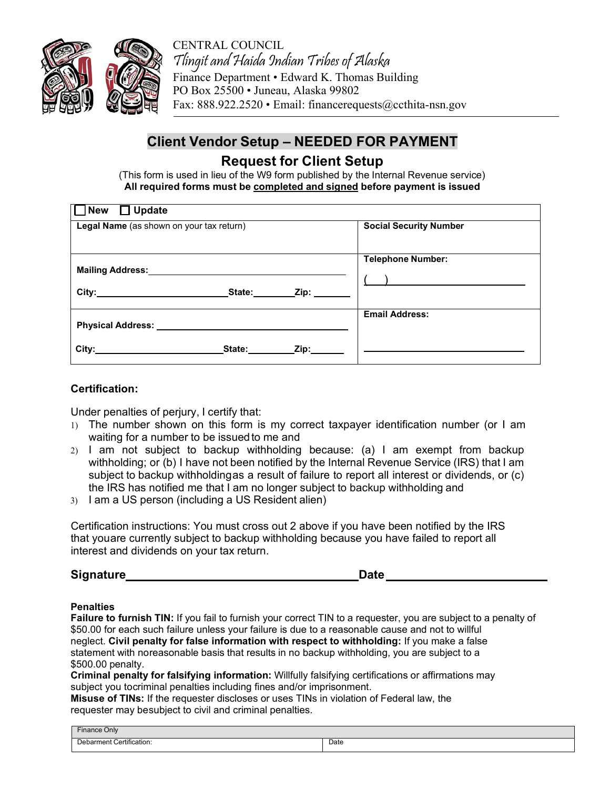

CENTRAL COUNCIL Tlingit and Haida Indian Tribes of Alaska Finance Department • Edward K. Thomas Building PO Box 25500 • Juneau, Alaska 99802 Fax: 888.922.2520 • Email: financerequests@ccthita-nsn.gov

## **Client Vendor Setup – NEEDED FOR PAYMENT**

## **Request for Client Setup**

(This form is used in lieu of the W9 form published by the Internal Revenue service) **All required forms must be completed and signed before payment is issued**

| New □ Update                                                                                                                                                                                                                   |                                                                                                                         |
|--------------------------------------------------------------------------------------------------------------------------------------------------------------------------------------------------------------------------------|-------------------------------------------------------------------------------------------------------------------------|
| Legal Name (as shown on your tax return)                                                                                                                                                                                       | <b>Social Security Number</b>                                                                                           |
| <b>Mailing Address:</b>                                                                                                                                                                                                        | <b>Telephone Number:</b>                                                                                                |
| State:                                                                                                                                                                                                                         | <u> The Communication of the Communication of the Communication of the Communication of the Communication of the Co</u> |
| Physical Address: National American Services of Address and Address and Address and Address and Address and Address and Address and Address and Address and Address and Address and Address and Address and Address and Addres | <b>Email Address:</b>                                                                                                   |
| City:<br>Zip:<br>State:<br><u>and the companion of the companion of</u>                                                                                                                                                        |                                                                                                                         |

#### **Certification:**

Under penalties of perjury, I certify that:

- 1) The number shown on this form is my correct taxpayer identification number (or I am waiting for a number to be issued to me and
- 2) I am not subject to backup withholding because: (a) I am exempt from backup withholding; or (b) I have not been notified by the Internal Revenue Service (IRS) that I am subject to backup withholdingas a result of failure to report all interest or dividends, or (c) the IRS has notified me that I am no longer subject to backup withholding and
- 3) I am a US person (including a US Resident alien)

Certification instructions: You must cross out 2 above if you have been notified by the IRS that youare currently subject to backup withholding because you have failed to report all interest and dividends on your tax return.

**Signature Date**

#### **Penalties**

**Failure to furnish TIN:** If you fail to furnish your correct TIN to a requester, you are subject to a penalty of \$50.00 for each such failure unless your failure is due to a reasonable cause and not to willful neglect. **Civil penalty for false information with respect to withholding:** If you make a false statement with noreasonable basis that results in no backup withholding, you are subject to a \$500.00 penalty.

**Criminal penalty for falsifying information:** Willfully falsifying certifications or affirmations may subject you tocriminal penalties including fines and/or imprisonment.

**Misuse of TINs:** If the requester discloses or uses TINs in violation of Federal law, the requester may besubject to civil and criminal penalties.

| $-$<br>-inance Only                         |               |
|---------------------------------------------|---------------|
| -<br>Certification:<br>$   -$<br>non<br>леп | Date<br>$  -$ |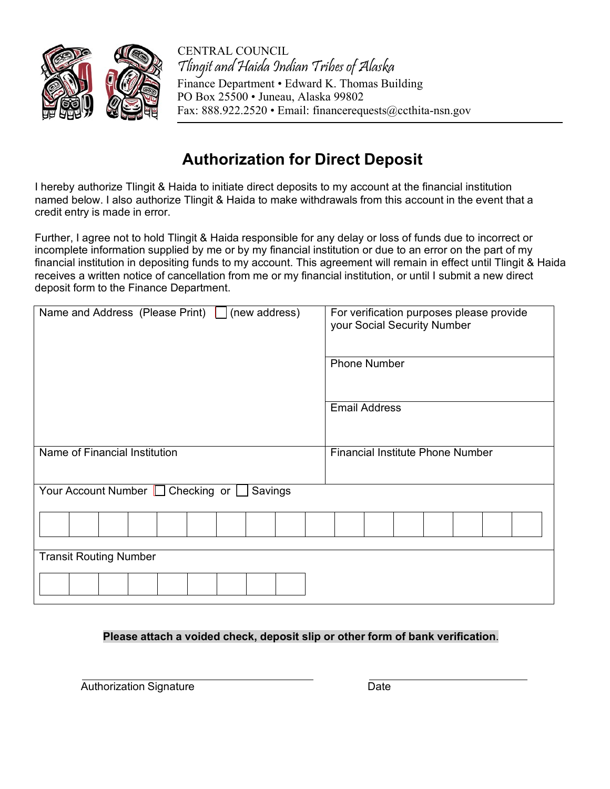

CENTRAL COUNCIL Tlingit and Haida Indian Tribes of Alaska Finance Department • Edward K. Thomas Building PO Box 25500 • Juneau, Alaska 99802 Fax: 888.922.2520 • Em[ail: financerequests@ccthita-nsn.gov](mailto:financerequests@ccthita.org)

# **Authorization for Direct Deposit**

I hereby authorize Tlingit & Haida to initiate direct deposits to my account at the financial institution named below. I also authorize Tlingit & Haida to make withdrawals from this account in the event that a credit entry is made in error.

Further, I agree not to hold Tlingit & Haida responsible for any delay or loss of funds due to incorrect or incomplete information supplied by me or by my financial institution or due to an error on the part of my financial institution in depositing funds to my account. This agreement will remain in effect until Tlingit & Haida receives a written notice of cancellation from me or my financial institution, or until I submit a new direct deposit form to the Finance Department.

| Name and Address (Please Print) $\Box$ (new address) | For verification purposes please provide<br>your Social Security Number |
|------------------------------------------------------|-------------------------------------------------------------------------|
|                                                      | <b>Phone Number</b>                                                     |
|                                                      | <b>Email Address</b>                                                    |
| Name of Financial Institution                        | <b>Financial Institute Phone Number</b>                                 |
| Your Account Number   Checking or  <br>Savings       |                                                                         |
|                                                      |                                                                         |
| <b>Transit Routing Number</b>                        |                                                                         |
|                                                      |                                                                         |

## **Please attach a voided check, deposit slip or other form of bank verification**.

Authorization Signature **Date** Date